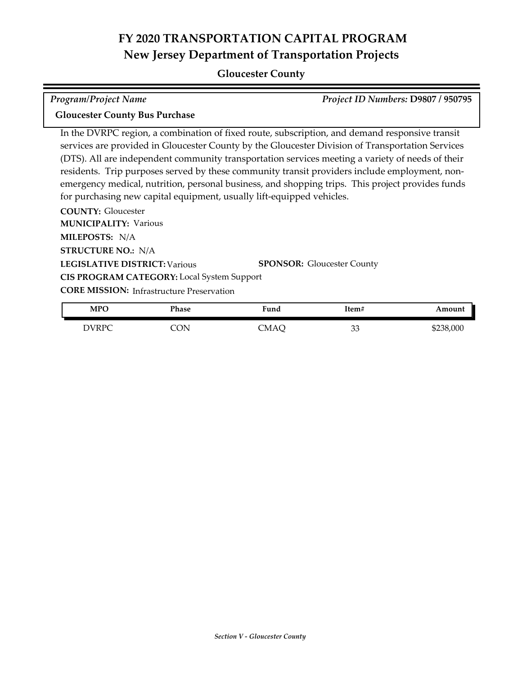## **Gloucester County**

| <b>Program/Project Name</b>                                                                    | Project ID Numbers: D9807 / 950795 |
|------------------------------------------------------------------------------------------------|------------------------------------|
| <b>Gloucester County Bus Purchase</b>                                                          |                                    |
| In the DVRPC region, a combination of fixed route, subscription, and demand responsive transit |                                    |

egion, a combination of fixed route, subscription, and demand responsive tra services are provided in Gloucester County by the Gloucester Division of Transportation Services (DTS). All are independent community transportation services meeting a variety of needs of their residents. Trip purposes served by these community transit providers include employment, non‐ emergency medical, nutrition, personal business, and shopping trips. This project provides funds for purchasing new capital equipment, usually lift-equipped vehicles.

**COUNTY:** Gloucester **LEGISLATIVE DISTRICT:** Various **MILEPOSTS:** N/A **STRUCTURE NO.:** N/A **MUNICIPALITY: Various CORE MISSION:** Infrastructure Preservation **SPONSOR:** Gloucester County **CIS PROGRAM CATEGORY:** Local System Support

| <b>MPO</b>   | Phase | -<br>Fund | ftem#    | Amount    |
|--------------|-------|-----------|----------|-----------|
| <b>DVRPC</b> | CON   | CMAC      | nn<br>၁၁ | \$238,000 |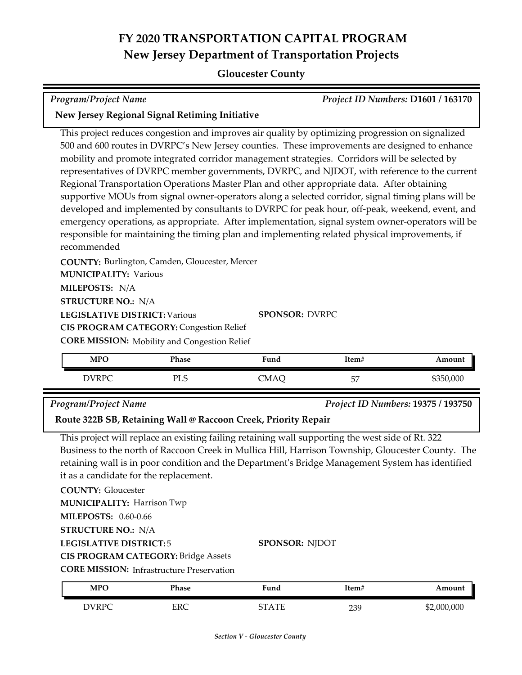## **Gloucester County**

*Program/Project Name Project ID Numbers:* **D1601 / 163170**

### **New Jersey Regional Signal Retiming Initiative**

This project reduces congestion and improves air quality by optimizing progression on signalized 500 and 600 routes in DVRPC's New Jersey counties. These improvements are designed to enhance mobility and promote integrated corridor management strategies. Corridors will be selected by representatives of DVRPC member governments, DVRPC, and NJDOT, with reference to the current Regional Transportation Operations Master Plan and other appropriate data. After obtaining supportive MOUs from signal owner-operators along a selected corridor, signal timing plans will be developed and implemented by consultants to DVRPC for peak hour, off-peak, weekend, event, and emergency operations, as appropriate. After implementation, signal system owner-operators will be responsible for maintaining the timing plan and implementing related physical improvements, if recommended

**COUNTY:** Burlington, Camden, Gloucester, Mercer **MUNICIPALITY: Various** 

**MILEPOSTS:** N/A

**STRUCTURE NO.:** N/A

**LEGISLATIVE DISTRICT:** Various

**SPONSOR:** DVRPC

**CORE MISSION:** Mobility and Congestion Relief **CIS PROGRAM CATEGORY: Congestion Relief** 

| <b>MPO</b>   | Phase     | Fund | Item#    | Amount    |
|--------------|-----------|------|----------|-----------|
| <b>DVRPC</b> | рт с<br>ப | `MAÇ | ĒĦ<br>ىر | \$350,000 |

#### *Program/Project Name Project ID Numbers:* **19375 / 193750**

**Route 322B SB, Retaining Wall @ Raccoon Creek, Priority Repair**

This project will replace an existing failing retaining wall supporting the west side of Rt. 322 Business to the north of Raccoon Creek in Mullica Hill, Harrison Township, Gloucester County. The retaining wall is in poor condition and the Department's Bridge Management System has identified it as a candidate for the replacement.

**COUNTY:** Gloucester

**MUNICIPALITY: Harrison Twp** 

**MILEPOSTS:** 0.60-0.66

**STRUCTURE NO.:** N/A

## **LEGISLATIVE DISTRICT:** 5

**CIS PROGRAM CATEGORY:** Bridge Assets

**CORE MISSION: Infrastructure Preservation** 

| <b>MPO</b>   | Phase      | $\blacksquare$<br>Fund | Item# | Amount      |
|--------------|------------|------------------------|-------|-------------|
| <b>DVRPC</b> | <b>ERC</b> | CT A TE                | 239   | \$2,000,000 |

**SPONSOR:** NJDOT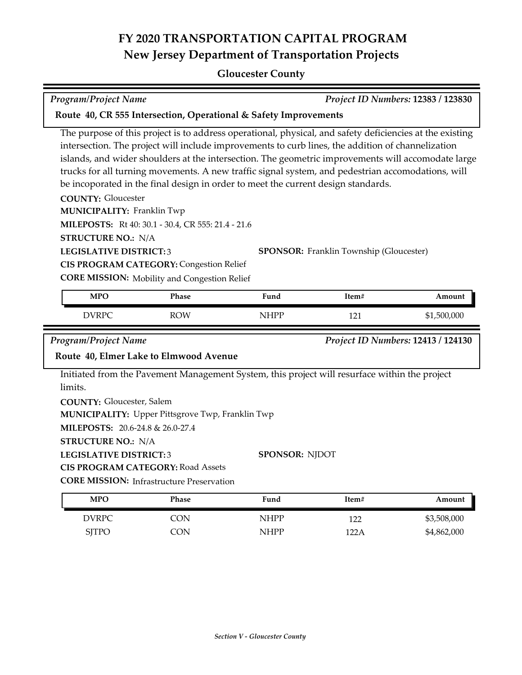## **Gloucester County**

| <b>Program/Project Name</b>                                                                                                                   |                                                                                                                                                             |                                                                                                                                                                                                                                                                                                                                                                                                                                                                                                               |                                                | Project ID Numbers: 12383 / 123830 |
|-----------------------------------------------------------------------------------------------------------------------------------------------|-------------------------------------------------------------------------------------------------------------------------------------------------------------|---------------------------------------------------------------------------------------------------------------------------------------------------------------------------------------------------------------------------------------------------------------------------------------------------------------------------------------------------------------------------------------------------------------------------------------------------------------------------------------------------------------|------------------------------------------------|------------------------------------|
|                                                                                                                                               |                                                                                                                                                             | Route 40, CR 555 Intersection, Operational & Safety Improvements                                                                                                                                                                                                                                                                                                                                                                                                                                              |                                                |                                    |
| <b>COUNTY: Gloucester</b><br><b>MUNICIPALITY: Franklin Twp</b><br><b>STRUCTURE NO.: N/A</b><br><b>LEGISLATIVE DISTRICT:3</b>                  | MILEPOSTS: Rt 40: 30.1 - 30.4, CR 555: 21.4 - 21.6<br><b>CIS PROGRAM CATEGORY: Congestion Relief</b><br><b>CORE MISSION:</b> Mobility and Congestion Relief | The purpose of this project is to address operational, physical, and safety deficiencies at the existing<br>intersection. The project will include improvements to curb lines, the addition of channelization<br>islands, and wider shoulders at the intersection. The geometric improvements will accomodate large<br>trucks for all turning movements. A new traffic signal system, and pedestrian accomodations, will<br>be incoporated in the final design in order to meet the current design standards. | <b>SPONSOR:</b> Franklin Township (Gloucester) |                                    |
| <b>MPO</b>                                                                                                                                    | Phase                                                                                                                                                       | Fund                                                                                                                                                                                                                                                                                                                                                                                                                                                                                                          | Item#                                          | Amount                             |
| <b>DVRPC</b>                                                                                                                                  | <b>ROW</b>                                                                                                                                                  | <b>NHPP</b>                                                                                                                                                                                                                                                                                                                                                                                                                                                                                                   | 121                                            | \$1,500,000                        |
| <b>Program/Project Name</b>                                                                                                                   | Route 40, Elmer Lake to Elmwood Avenue                                                                                                                      |                                                                                                                                                                                                                                                                                                                                                                                                                                                                                                               |                                                | Project ID Numbers: 12413 / 124130 |
| limits.<br><b>COUNTY: Gloucester, Salem</b><br>MILEPOSTS: 20.6-24.8 & 26.0-27.4<br><b>STRUCTURE NO.: N/A</b><br><b>LEGISLATIVE DISTRICT:3</b> | <b>MUNICIPALITY: Upper Pittsgrove Twp, Franklin Twp</b><br><b>CIS PROGRAM CATEGORY: Road Assets</b>                                                         | Initiated from the Pavement Management System, this project will resurface within the project<br><b>SPONSOR: NJDOT</b>                                                                                                                                                                                                                                                                                                                                                                                        |                                                |                                    |
|                                                                                                                                               | <b>CORE MISSION:</b> Infrastructure Preservation                                                                                                            |                                                                                                                                                                                                                                                                                                                                                                                                                                                                                                               |                                                |                                    |
| <b>MPO</b>                                                                                                                                    | Phase                                                                                                                                                       | Fund                                                                                                                                                                                                                                                                                                                                                                                                                                                                                                          | Item#                                          | Amount<br>\$3,508,000              |
| <b>DVRPC</b>                                                                                                                                  | <b>CON</b>                                                                                                                                                  | <b>NHPP</b>                                                                                                                                                                                                                                                                                                                                                                                                                                                                                                   | 122                                            |                                    |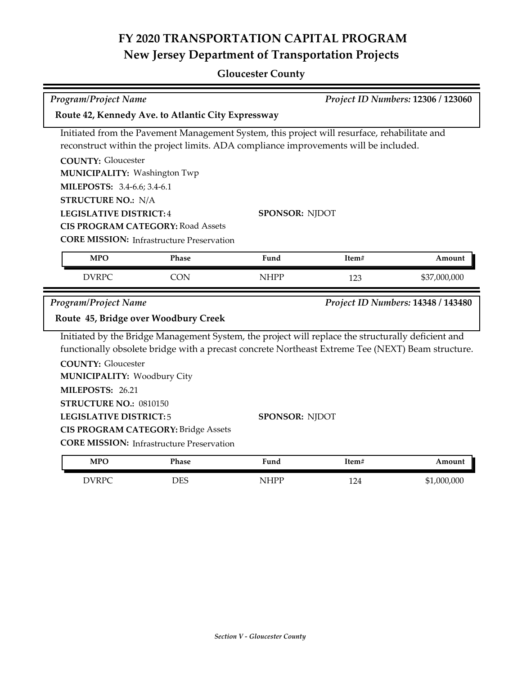## **Gloucester County**

| <b>Program/Project Name</b>                                                                                                                                   |                                                           |                                                                                                                                                                                                                                  |       | Project ID Numbers: 12306 / 123060 |
|---------------------------------------------------------------------------------------------------------------------------------------------------------------|-----------------------------------------------------------|----------------------------------------------------------------------------------------------------------------------------------------------------------------------------------------------------------------------------------|-------|------------------------------------|
|                                                                                                                                                               | Route 42, Kennedy Ave. to Atlantic City Expressway        |                                                                                                                                                                                                                                  |       |                                    |
| <b>COUNTY: Gloucester</b><br><b>MUNICIPALITY: Washington Twp</b><br>MILEPOSTS: 3.4-6.6; 3.4-6.1<br><b>STRUCTURE NO.: N/A</b><br><b>LEGISLATIVE DISTRICT:4</b> | <b>CIS PROGRAM CATEGORY: Road Assets</b>                  | Initiated from the Pavement Management System, this project will resurface, rehabilitate and<br>reconstruct within the project limits. ADA compliance improvements will be included.<br><b>SPONSOR: NJDOT</b>                    |       |                                    |
| <b>MPO</b>                                                                                                                                                    | <b>CORE MISSION: Infrastructure Preservation</b><br>Phase | Fund                                                                                                                                                                                                                             | Item# | Amount                             |
| <b>DVRPC</b>                                                                                                                                                  | <b>CON</b>                                                | <b>NHPP</b>                                                                                                                                                                                                                      | 123   | \$37,000,000                       |
| <b>Program/Project Name</b>                                                                                                                                   | Route 45, Bridge over Woodbury Creek                      |                                                                                                                                                                                                                                  |       | Project ID Numbers: 14348 / 143480 |
| <b>COUNTY: Gloucester</b><br><b>MUNICIPALITY: Woodbury City</b><br>MILEPOSTS: 26.21<br>STRUCTURE NO.: 0810150<br><b>LEGISLATIVE DISTRICT:5</b>                |                                                           | Initiated by the Bridge Management System, the project will replace the structurally deficient and<br>functionally obsolete bridge with a precast concrete Northeast Extreme Tee (NEXT) Beam structure.<br><b>SPONSOR: NJDOT</b> |       |                                    |
| <b>CIS PROGRAM CATEGORY: Bridge Assets</b><br><b>CORE MISSION:</b> Infrastructure Preservation                                                                |                                                           |                                                                                                                                                                                                                                  |       |                                    |
| <b>MPO</b>                                                                                                                                                    | Phase                                                     | Fund                                                                                                                                                                                                                             | Item# | Amount                             |
| <b>DVRPC</b>                                                                                                                                                  | <b>DES</b>                                                | <b>NHPP</b>                                                                                                                                                                                                                      | 124   | \$1,000,000                        |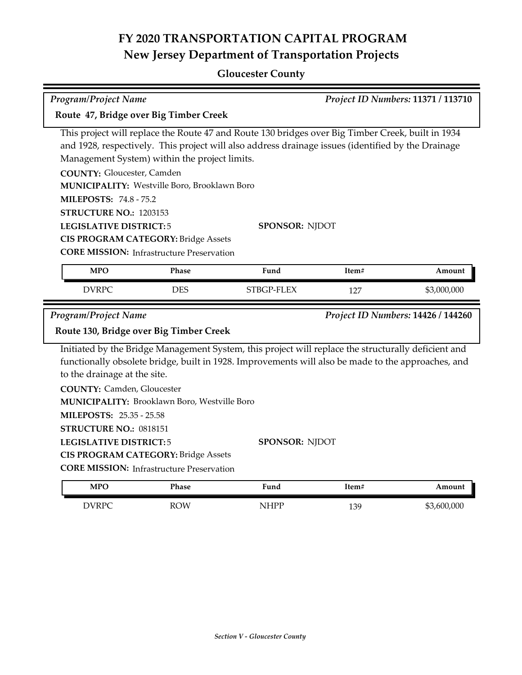## **Gloucester County**

|                                                                                                                                                          | Project ID Numbers: 11371 / 113710<br><b>Program/Project Name</b>                                                                                                                               |                                                                                                                                                                                                                                  |       |                                    |
|----------------------------------------------------------------------------------------------------------------------------------------------------------|-------------------------------------------------------------------------------------------------------------------------------------------------------------------------------------------------|----------------------------------------------------------------------------------------------------------------------------------------------------------------------------------------------------------------------------------|-------|------------------------------------|
| Route 47, Bridge over Big Timber Creek                                                                                                                   |                                                                                                                                                                                                 |                                                                                                                                                                                                                                  |       |                                    |
| <b>COUNTY: Gloucester, Camden</b><br><b>MILEPOSTS: 74.8 - 75.2</b><br>STRUCTURE NO.: 1203153<br><b>LEGISLATIVE DISTRICT:5</b>                            | Management System) within the project limits.<br>MUNICIPALITY: Westville Boro, Brooklawn Boro<br><b>CIS PROGRAM CATEGORY: Bridge Assets</b><br><b>CORE MISSION:</b> Infrastructure Preservation | This project will replace the Route 47 and Route 130 bridges over Big Timber Creek, built in 1934<br>and 1928, respectively. This project will also address drainage issues (identified by the Drainage<br><b>SPONSOR: NJDOT</b> |       |                                    |
| <b>MPO</b>                                                                                                                                               | Phase                                                                                                                                                                                           | Fund                                                                                                                                                                                                                             | Item# | Amount                             |
| <b>DVRPC</b>                                                                                                                                             | <b>DES</b>                                                                                                                                                                                      | STBGP-FLEX                                                                                                                                                                                                                       | 127   | \$3,000,000                        |
|                                                                                                                                                          |                                                                                                                                                                                                 |                                                                                                                                                                                                                                  |       |                                    |
| <b>Program/Project Name</b><br>Route 130, Bridge over Big Timber Creek                                                                                   |                                                                                                                                                                                                 |                                                                                                                                                                                                                                  |       | Project ID Numbers: 14426 / 144260 |
| to the drainage at the site.<br><b>COUNTY:</b> Camden, Gloucester<br>MILEPOSTS: 25.35 - 25.58<br>STRUCTURE NO.: 0818151<br><b>LEGISLATIVE DISTRICT:5</b> | MUNICIPALITY: Brooklawn Boro, Westville Boro<br><b>CIS PROGRAM CATEGORY: Bridge Assets</b><br><b>CORE MISSION:</b> Infrastructure Preservation                                                  | Initiated by the Bridge Management System, this project will replace the structurally deficient and<br>functionally obsolete bridge, built in 1928. Improvements will also be made to the approaches, and<br>SPONSOR: NJDOT      |       |                                    |
| <b>MPO</b>                                                                                                                                               | Phase                                                                                                                                                                                           | Fund                                                                                                                                                                                                                             | Item# | Amount                             |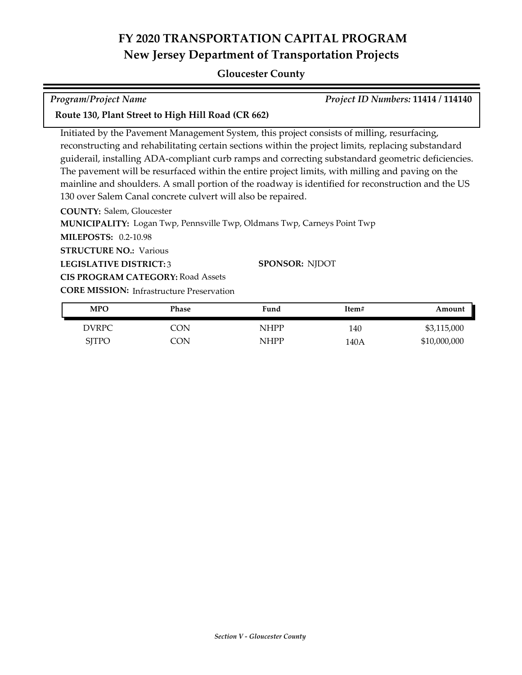## **Gloucester County**

| <b>Program/Project Name</b> | Project ID Numbers: 11414 / 114140 |
|-----------------------------|------------------------------------|

### **Route 130, Plant Street to High Hill Road (CR 662)**

Initiated by the Pavement Management System, this project consists of milling, resurfacing, reconstructing and rehabilitating certain sections within the project limits, replacing substandard guiderail, installing ADA-compliant curb ramps and correcting substandard geometric deficiencies. The pavement will be resurfaced within the entire project limits, with milling and paving on the mainline and shoulders. A small portion of the roadway is identified for reconstruction and the US 130 over Salem Canal concrete culvert will also be repaired.

**COUNTY:** Salem, Gloucester

**MUNICIPALITY:** Logan Twp, Pennsville Twp, Oldmans Twp, Carneys Point Twp

**MILEPOSTS:** 0.2-10.98

**STRUCTURE NO.: Various** 

**LEGISLATIVE DISTRICT:** 3

**SPONSOR:** NJDOT

**CORE MISSION:** Infrastructure Preservation **CIS PROGRAM CATEGORY:** Road Assets

| <b>MPO</b>   | Phase | Fund        | Item# | Amount       |
|--------------|-------|-------------|-------|--------------|
| DVRPC.       | CON   | NHPP        | 140   | \$3,115,000  |
| <b>SJTPO</b> | CON   | <b>NHPP</b> | 140A  | \$10,000,000 |